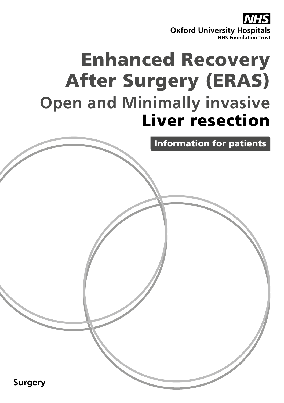

# Enhanced Recovery After Surgery (ERAS) **Open and Minimally invasive**  Liver resection

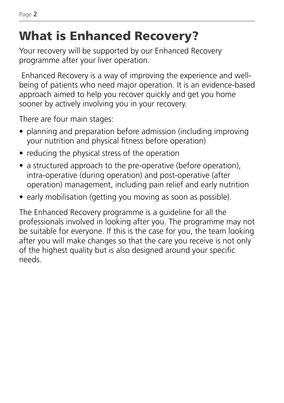## What is Enhanced Recovery?

Your recovery will be supported by our Enhanced Recovery programme after your liver operation.

 Enhanced Recovery is a way of improving the experience and wellbeing of patients who need major operation. It is an evidence-based approach aimed to help you recover quickly and get you home sooner by actively involving you in your recovery.

There are four main stages:

- planning and preparation before admission (including improving your nutrition and physical fitness before operation)
- reducing the physical stress of the operation
- a structured approach to the pre-operative (before operation), intra-operative (during operation) and post-operative (after operation) management, including pain relief and early nutrition
- early mobilisation (getting you moving as soon as possible).

The Enhanced Recovery programme is a guideline for all the professionals involved in looking after you. The programme may not be suitable for everyone. If this is the case for you, the team looking after you will make changes so that the care you receive is not only of the highest quality but is also designed around your specific needs.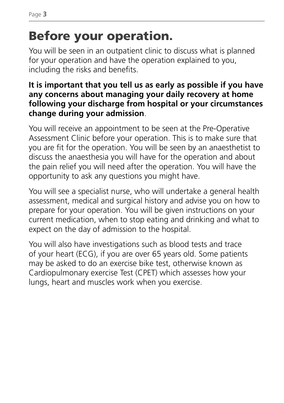## Before your operation.

You will be seen in an outpatient clinic to discuss what is planned for your operation and have the operation explained to you, including the risks and benefits.

#### **It is important that you tell us as early as possible if you have any concerns about managing your daily recovery at home following your discharge from hospital or your circumstances change during your admission**.

You will receive an appointment to be seen at the Pre-Operative Assessment Clinic before your operation. This is to make sure that you are fit for the operation. You will be seen by an anaesthetist to discuss the anaesthesia you will have for the operation and about the pain relief you will need after the operation. You will have the opportunity to ask any questions you might have.

You will see a specialist nurse, who will undertake a general health assessment, medical and surgical history and advise you on how to prepare for your operation. You will be given instructions on your current medication, when to stop eating and drinking and what to expect on the day of admission to the hospital.

You will also have investigations such as blood tests and trace of your heart (ECG), if you are over 65 years old. Some patients may be asked to do an exercise bike test, otherwise known as Cardiopulmonary exercise Test (CPET) which assesses how your lungs, heart and muscles work when you exercise.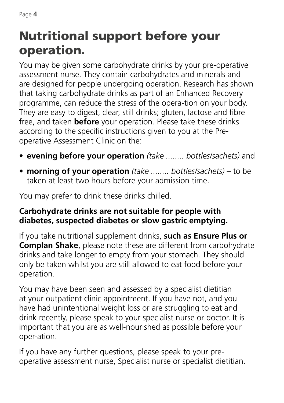## Nutritional support before your operation.

You may be given some carbohydrate drinks by your pre-operative assessment nurse. They contain carbohydrates and minerals and are designed for people undergoing operation. Research has shown that taking carbohydrate drinks as part of an Enhanced Recovery programme, can reduce the stress of the opera-tion on your body. They are easy to digest, clear, still drinks; gluten, lactose and fibre free, and taken **before** your operation. Please take these drinks according to the specific instructions given to you at the Preoperative Assessment Clinic on the:

- **• evening before your operation** *(take ........ bottles/sachets)* and
- **morning of your operation** *(take ........ bottles/sachets)* to be taken at least two hours before your admission time.

You may prefer to drink these drinks chilled.

#### **Carbohydrate drinks are not suitable for people with diabetes, suspected diabetes or slow gastric emptying.**

If you take nutritional supplement drinks, **such as Ensure Plus or Complan Shake**, please note these are different from carbohydrate drinks and take longer to empty from your stomach. They should only be taken whilst you are still allowed to eat food before your operation.

You may have been seen and assessed by a specialist dietitian at your outpatient clinic appointment. If you have not, and you have had unintentional weight loss or are struggling to eat and drink recently, please speak to your specialist nurse or doctor. It is important that you are as well-nourished as possible before your oper-ation.

If you have any further questions, please speak to your preoperative assessment nurse, Specialist nurse or specialist dietitian.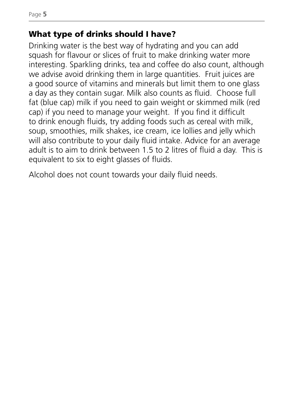#### What type of drinks should I have?

Drinking water is the best way of hydrating and you can add squash for flavour or slices of fruit to make drinking water more interesting. Sparkling drinks, tea and coffee do also count, although we advise avoid drinking them in large quantities. Fruit juices are a good source of vitamins and minerals but limit them to one glass a day as they contain sugar. Milk also counts as fluid. Choose full fat (blue cap) milk if you need to gain weight or skimmed milk (red cap) if you need to manage your weight. If you find it difficult to drink enough fluids, try adding foods such as cereal with milk, soup, smoothies, milk shakes, ice cream, ice lollies and jelly which will also contribute to your daily fluid intake. Advice for an average adult is to aim to drink between 1.5 to 2 litres of fluid a day. This is equivalent to six to eight glasses of fluids.

Alcohol does not count towards your daily fluid needs.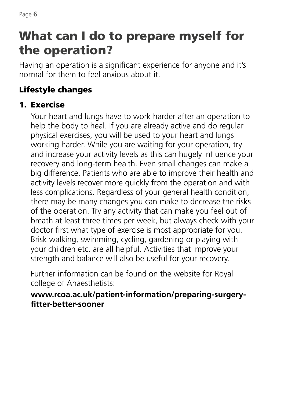### What can I do to prepare myself for the operation?

Having an operation is a significant experience for anyone and it's normal for them to feel anxious about it.

#### Lifestyle changes

#### 1. Exercise

 Your heart and lungs have to work harder after an operation to help the body to heal. If you are already active and do regular physical exercises, you will be used to your heart and lungs working harder. While you are waiting for your operation, try and increase your activity levels as this can hugely influence your recovery and long-term health. Even small changes can make a big difference. Patients who are able to improve their health and activity levels recover more quickly from the operation and with less complications. Regardless of your general health condition, there may be many changes you can make to decrease the risks of the operation. Try any activity that can make you feel out of breath at least three times per week, but always check with your doctor first what type of exercise is most appropriate for you. Brisk walking, swimming, cycling, gardening or playing with your children etc. are all helpful. Activities that improve your strength and balance will also be useful for your recovery.

 Further information can be found on the website for Royal college of Anaesthetists:

#### **www.rcoa.ac.uk/patient-information/preparing-surgeryfitter-better-sooner**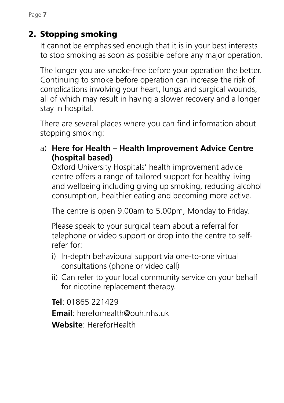2. Stopping smoking

 It cannot be emphasised enough that it is in your best interests to stop smoking as soon as possible before any major operation.

 The longer you are smoke-free before your operation the better. Continuing to smoke before operation can increase the risk of complications involving your heart, lungs and surgical wounds, all of which may result in having a slower recovery and a longer stay in hospital.

 There are several places where you can find information about stopping smoking:

a) **Here for Health – Health Improvement Advice Centre (hospital based)** 

 Oxford University Hospitals' health improvement advice centre offers a range of tailored support for healthy living and wellbeing including giving up smoking, reducing alcohol consumption, healthier eating and becoming more active.

The centre is open 9.00am to 5.00pm, Monday to Friday.

 Please speak to your surgical team about a referral for telephone or video support or drop into the centre to selfrefer for:

- i) In-depth behavioural support via one-to-one virtual consultations (phone or video call)
- ii) Can refer to your local community service on your behalf for nicotine replacement therapy.

**Tel**: 01865 221429

**Email**: hereforhealth@ouh.nhs.uk

**Website**: HereforHealth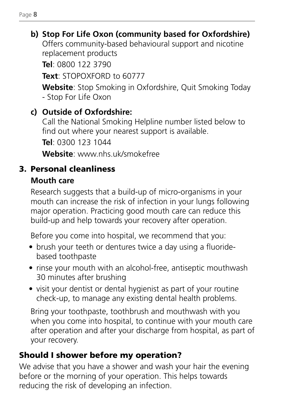### **b) Stop For Life Oxon (community based for Oxfordshire)**

 Offers community-based behavioural support and nicotine replacement products

**Tel**: 0800 122 3790

**Text**: STOPOXFORD to 60777

 **Website**: Stop Smoking in Oxfordshire, Quit Smoking Today - Stop For Life Oxon

#### **c) Outside of Oxfordshire:**

 Call the National Smoking Helpline number listed below to find out where your nearest support is available.

**Tel**: 0300 123 1044

**Website**: www.nhs.uk/smokefree

#### 3. Personal cleanliness

#### **Mouth care**

 Research suggests that a build-up of micro-organisms in your mouth can increase the risk of infection in your lungs following major operation. Practicing good mouth care can reduce this build-up and help towards your recovery after operation.

Before you come into hospital, we recommend that you:

- brush your teeth or dentures twice a day using a fluoridebased toothpaste
- rinse your mouth with an alcohol-free, antiseptic mouthwash 30 minutes after brushing
- visit your dentist or dental hygienist as part of your routine check-up, to manage any existing dental health problems.

 Bring your toothpaste, toothbrush and mouthwash with you when you come into hospital, to continue with your mouth care after operation and after your discharge from hospital, as part of your recovery.

#### Should I shower before my operation?

We advise that you have a shower and wash your hair the evening before or the morning of your operation. This helps towards reducing the risk of developing an infection.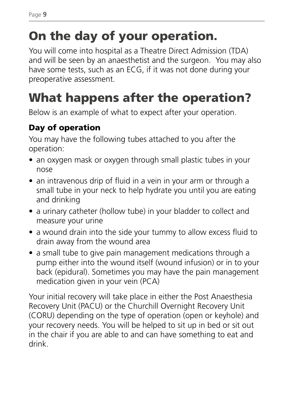## On the day of your operation.

You will come into hospital as a Theatre Direct Admission (TDA) and will be seen by an anaesthetist and the surgeon. You may also have some tests, such as an ECG, if it was not done during your preoperative assessment.

## What happens after the operation?

Below is an example of what to expect after your operation.

#### Day of operation

You may have the following tubes attached to you after the operation:

- an oxygen mask or oxygen through small plastic tubes in your nose
- an intravenous drip of fluid in a vein in your arm or through a small tube in your neck to help hydrate you until you are eating and drinking
- a urinary catheter (hollow tube) in your bladder to collect and measure your urine
- a wound drain into the side your tummy to allow excess fluid to drain away from the wound area
- a small tube to give pain management medications through a pump either into the wound itself (wound infusion) or in to your back (epidural). Sometimes you may have the pain management medication given in your vein (PCA)

Your initial recovery will take place in either the Post Anaesthesia Recovery Unit (PACU) or the Churchill Overnight Recovery Unit (CORU) depending on the type of operation (open or keyhole) and your recovery needs. You will be helped to sit up in bed or sit out in the chair if you are able to and can have something to eat and drink.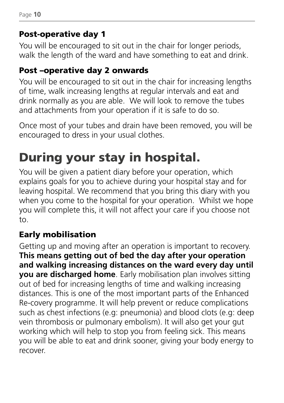#### Post-operative day 1

You will be encouraged to sit out in the chair for longer periods, walk the length of the ward and have something to eat and drink.

#### Post –operative day 2 onwards

You will be encouraged to sit out in the chair for increasing lengths of time, walk increasing lengths at regular intervals and eat and drink normally as you are able. We will look to remove the tubes and attachments from your operation if it is safe to do so.

Once most of your tubes and drain have been removed, you will be encouraged to dress in your usual clothes.

## During your stay in hospital.

You will be given a patient diary before your operation, which explains goals for you to achieve during your hospital stay and for leaving hospital. We recommend that you bring this diary with you when you come to the hospital for your operation. Whilst we hope you will complete this, it will not affect your care if you choose not to.

#### Early mobilisation

Getting up and moving after an operation is important to recovery. **This means getting out of bed the day after your operation and walking increasing distances on the ward every day until vou are discharged home**. Early mobilisation plan involves sitting out of bed for increasing lengths of time and walking increasing distances. This is one of the most important parts of the Enhanced Re-covery programme. It will help prevent or reduce complications such as chest infections (e.g: pneumonia) and blood clots (e.g: deep vein thrombosis or pulmonary embolism). It will also get your gut working which will help to stop you from feeling sick. This means you will be able to eat and drink sooner, giving your body energy to recover.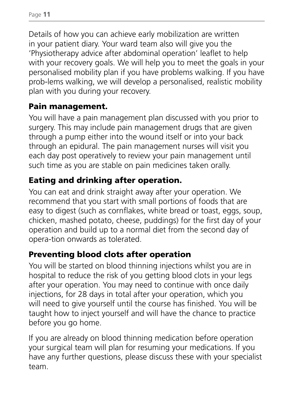Page **11**

Details of how you can achieve early mobilization are written in your patient diary. Your ward team also will give you the 'Physiotherapy advice after abdominal operation' leaflet to help with your recovery goals. We will help you to meet the goals in your personalised mobility plan if you have problems walking. If you have prob-lems walking, we will develop a personalised, realistic mobility plan with you during your recovery.

#### Pain management.

You will have a pain management plan discussed with you prior to surgery. This may include pain management drugs that are given through a pump either into the wound itself or into your back through an epidural. The pain management nurses will visit you each day post operatively to review your pain management until such time as you are stable on pain medicines taken orally.

#### Eating and drinking after operation.

You can eat and drink straight away after your operation. We recommend that you start with small portions of foods that are easy to digest (such as cornflakes, white bread or toast, eggs, soup, chicken, mashed potato, cheese, puddings) for the first day of your operation and build up to a normal diet from the second day of opera-tion onwards as tolerated.

#### Preventing blood clots after operation

You will be started on blood thinning injections whilst you are in hospital to reduce the risk of you getting blood clots in your legs after your operation. You may need to continue with once daily injections, for 28 days in total after your operation, which you will need to give yourself until the course has finished. You will be taught how to inject yourself and will have the chance to practice before you go home.

If you are already on blood thinning medication before operation your surgical team will plan for resuming your medications. If you have any further questions, please discuss these with your specialist team.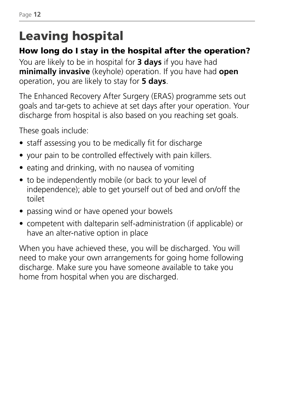## Leaving hospital

#### How long do I stay in the hospital after the operation?

You are likely to be in hospital for **3 days** if you have had **minimally invasive** (keyhole) operation. If you have had **open** operation, you are likely to stay for **5 days**.

The Enhanced Recovery After Surgery (ERAS) programme sets out goals and tar-gets to achieve at set days after your operation. Your discharge from hospital is also based on you reaching set goals.

These goals include:

- staff assessing you to be medically fit for discharge
- your pain to be controlled effectively with pain killers.
- eating and drinking, with no nausea of vomiting
- to be independently mobile (or back to your level of independence); able to get yourself out of bed and on/off the toilet
- passing wind or have opened your bowels
- competent with dalteparin self-administration (if applicable) or have an alter-native option in place

When you have achieved these, you will be discharged. You will need to make your own arrangements for going home following discharge. Make sure you have someone available to take you home from hospital when you are discharged.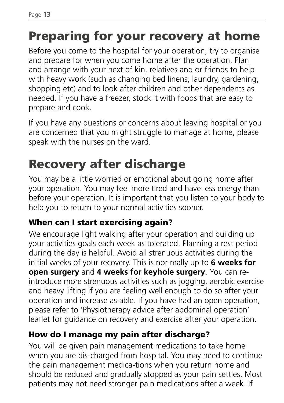## Preparing for your recovery at home

Before you come to the hospital for your operation, try to organise and prepare for when you come home after the operation. Plan and arrange with your next of kin, relatives and or friends to help with heavy work (such as changing bed linens, laundry, gardening, shopping etc) and to look after children and other dependents as needed. If you have a freezer, stock it with foods that are easy to prepare and cook.

If you have any questions or concerns about leaving hospital or you are concerned that you might struggle to manage at home, please speak with the nurses on the ward.

## Recovery after discharge

You may be a little worried or emotional about going home after your operation. You may feel more tired and have less energy than before your operation. It is important that you listen to your body to help you to return to your normal activities sooner.

#### When can I start exercising again?

We encourage light walking after your operation and building up your activities goals each week as tolerated. Planning a rest period during the day is helpful. Avoid all strenuous activities during the initial weeks of your recovery. This is nor-mally up to **6 weeks for open surgery** and **4 weeks for keyhole surgery**. You can reintroduce more strenuous activities such as jogging, aerobic exercise and heavy lifting if you are feeling well enough to do so after your operation and increase as able. If you have had an open operation, please refer to 'Physiotherapy advice after abdominal operation' leaflet for guidance on recovery and exercise after your operation.

#### How do I manage my pain after discharge?

You will be given pain management medications to take home when you are dis-charged from hospital. You may need to continue the pain management medica-tions when you return home and should be reduced and gradually stopped as your pain settles. Most patients may not need stronger pain medications after a week. If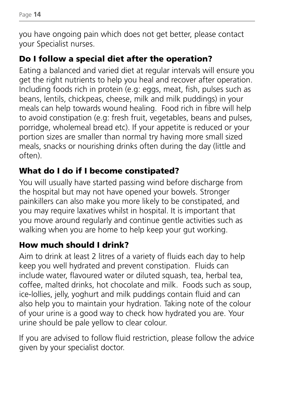you have ongoing pain which does not get better, please contact your Specialist nurses.

#### Do I follow a special diet after the operation?

Eating a balanced and varied diet at regular intervals will ensure you get the right nutrients to help you heal and recover after operation. Including foods rich in protein (e.g: eggs, meat, fish, pulses such as beans, lentils, chickpeas, cheese, milk and milk puddings) in your meals can help towards wound healing. Food rich in fibre will help to avoid constipation (e.g: fresh fruit, vegetables, beans and pulses, porridge, wholemeal bread etc). If your appetite is reduced or your portion sizes are smaller than normal try having more small sized meals, snacks or nourishing drinks often during the day (little and often).

#### What do I do if I become constipated?

You will usually have started passing wind before discharge from the hospital but may not have opened your bowels. Stronger painkillers can also make you more likely to be constipated, and you may require laxatives whilst in hospital. It is important that you move around regularly and continue gentle activities such as walking when you are home to help keep your gut working.

#### How much should I drink?

Aim to drink at least 2 litres of a variety of fluids each day to help keep you well hydrated and prevent constipation. Fluids can include water, flavoured water or diluted squash, tea, herbal tea, coffee, malted drinks, hot chocolate and milk. Foods such as soup, ice-lollies, jelly, yoghurt and milk puddings contain fluid and can also help you to maintain your hydration. Taking note of the colour of your urine is a good way to check how hydrated you are. Your urine should be pale yellow to clear colour.

If you are advised to follow fluid restriction, please follow the advice given by your specialist doctor.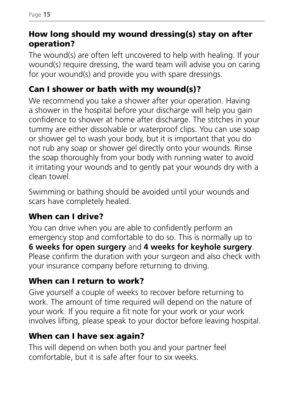#### How long should my wound dressing(s) stay on after operation?

The wound(s) are often left uncovered to help with healing. If your wound(s) require dressing, the ward team will advise you on caring for your wound(s) and provide you with spare dressings.

#### Can I shower or bath with my wound(s)?

We recommend you take a shower after your operation. Having a shower in the hospital before your discharge will help you gain confidence to shower at home after discharge. The stitches in your tummy are either dissolvable or waterproof clips. You can use soap or shower gel to wash your body, but it is important that you do not rub any soap or shower gel directly onto your wounds. Rinse the soap thoroughly from your body with running water to avoid it irritating your wounds and to gently pat your wounds dry with a clean towel.

Swimming or bathing should be avoided until your wounds and scars have completely healed.

#### When can I drive?

You can drive when you are able to confidently perform an emergency stop and comfortable to do so. This is normally up to **6 weeks for open surgery** and **4 weeks for keyhole surgery**. Please confirm the duration with your surgeon and also check with your insurance company before returning to driving.

#### When can I return to work?

Give yourself a couple of weeks to recover before returning to work. The amount of time required will depend on the nature of your work. If you require a fit note for your work or your work involves lifting, please speak to your doctor before leaving hospital.

#### When can I have sex again?

This will depend on when both you and your partner feel comfortable, but it is safe after four to six weeks.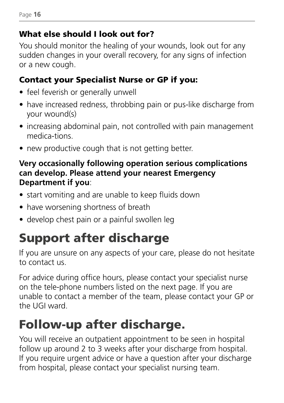#### What else should I look out for?

You should monitor the healing of your wounds, look out for any sudden changes in your overall recovery, for any signs of infection or a new cough.

#### Contact your Specialist Nurse or GP if you:

- feel feverish or generally unwell
- have increased redness, throbbing pain or pus-like discharge from your wound(s)
- increasing abdominal pain, not controlled with pain management medica-tions.
- new productive cough that is not getting better.

#### **Very occasionally following operation serious complications can develop. Please attend your nearest Emergency Department if you**:

- start vomiting and are unable to keep fluids down
- have worsening shortness of breath
- develop chest pain or a painful swollen leg

## Support after discharge

If you are unsure on any aspects of your care, please do not hesitate to contact us.

For advice during office hours, please contact your specialist nurse on the tele-phone numbers listed on the next page. If you are unable to contact a member of the team, please contact your GP or the UGI ward.

## Follow-up after discharge.

You will receive an outpatient appointment to be seen in hospital follow up around 2 to 3 weeks after your discharge from hospital. If you require urgent advice or have a question after your discharge from hospital, please contact your specialist nursing team.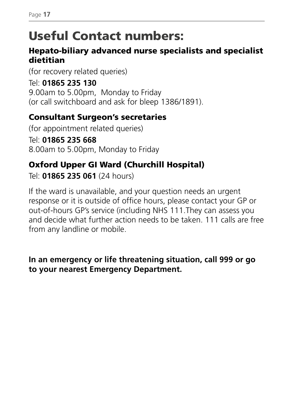### Useful Contact numbers:

#### Hepato-biliary advanced nurse specialists and specialist dietitian

(for recovery related queries)

Tel: **01865 235 130** 9.00am to 5.00pm, Monday to Friday (or call switchboard and ask for bleep 1386/1891).

#### Consultant Surgeon's secretaries

(for appointment related queries) Tel: **01865 235 668** 8.00am to 5.00pm, Monday to Friday

#### Oxford Upper GI Ward (Churchill Hospital)

Tel: **01865 235 061** (24 hours)

If the ward is unavailable, and your question needs an urgent response or it is outside of office hours, please contact your GP or out-of-hours GP's service (including NHS 111.They can assess you and decide what further action needs to be taken. 111 calls are free from any landline or mobile.

#### **In an emergency or life threatening situation, call 999 or go to your nearest Emergency Department.**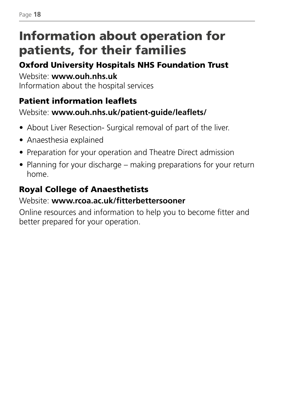## Information about operation for patients, for their families

#### Oxford University Hospitals NHS Foundation Trust

Website: **www.ouh.nhs.uk** Information about the hospital services

#### Patient information leaflets

#### Website: **www.ouh.nhs.uk/patient-guide/leaflets/**

- About Liver Resection- Surgical removal of part of the liver.
- Anaesthesia explained
- Preparation for your operation and Theatre Direct admission
- Planning for your discharge making preparations for your return home.

#### Royal College of Anaesthetists

#### Website: **www.rcoa.ac.uk/fitterbettersooner**

Online resources and information to help you to become fitter and better prepared for your operation.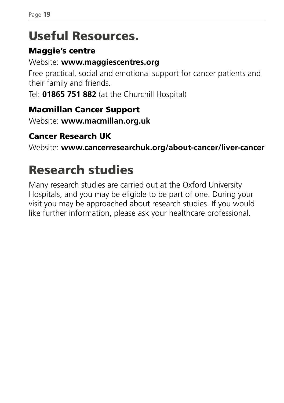### Useful Resources.

#### Maggie's centre

#### Website: **www.maggiescentres.org**

Free practical, social and emotional support for cancer patients and their family and friends.

Tel: **01865 751 882** (at the Churchill Hospital)

#### Macmillan Cancer Support

Website: **www.macmillan.org.uk**

#### Cancer Research UK

Website: **www.cancerresearchuk.org/about-cancer/liver-cancer**

## Research studies

Many research studies are carried out at the Oxford University Hospitals, and you may be eligible to be part of one. During your visit you may be approached about research studies. If you would like further information, please ask your healthcare professional.